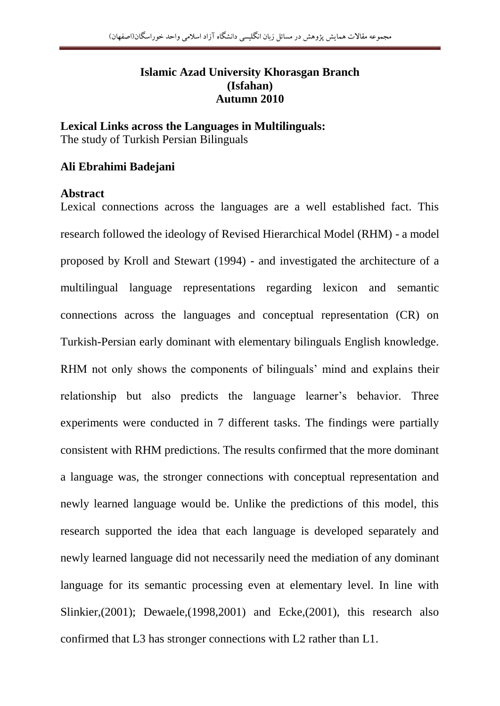# **Islamic Azad University Khorasgan Branch (Isfahan) Autumn 2010**

**Lexical Links across the Languages in Multilinguals:** The study of Turkish Persian Bilinguals

## **Ali Ebrahimi Badejani**

#### **Abstract**

Lexical connections across the languages are a well established fact. This research followed the ideology of Revised Hierarchical Model (RHM) - a model proposed by Kroll and Stewart (1994) - and investigated the architecture of a multilingual language representations regarding lexicon and semantic connections across the languages and conceptual representation (CR) on Turkish-Persian early dominant with elementary bilinguals English knowledge. RHM not only shows the components of bilinguals' mind and explains their relationship but also predicts the language learner's behavior. Three experiments were conducted in 7 different tasks. The findings were partially consistent with RHM predictions. The results confirmed that the more dominant a language was, the stronger connections with conceptual representation and newly learned language would be. Unlike the predictions of this model, this research supported the idea that each language is developed separately and newly learned language did not necessarily need the mediation of any dominant language for its semantic processing even at elementary level. In line with Slinkier,(2001); Dewaele,(1998,2001) and Ecke,(2001), this research also confirmed that L3 has stronger connections with L2 rather than L1.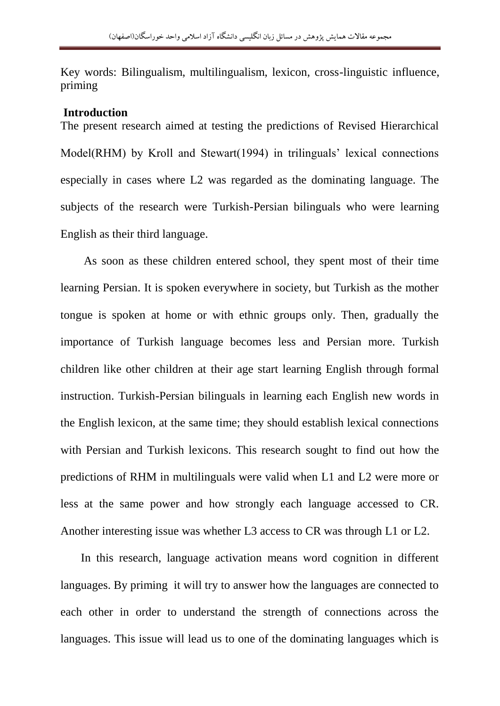Key words: Bilingualism, multilingualism, lexicon, cross-linguistic influence, priming

#### **Introduction**

The present research aimed at testing the predictions of Revised Hierarchical Model(RHM) by Kroll and Stewart(1994) in trilinguals' lexical connections especially in cases where L2 was regarded as the dominating language. The subjects of the research were Turkish-Persian bilinguals who were learning English as their third language.

 As soon as these children entered school, they spent most of their time learning Persian. It is spoken everywhere in society, but Turkish as the mother tongue is spoken at home or with ethnic groups only. Then, gradually the importance of Turkish language becomes less and Persian more. Turkish children like other children at their age start learning English through formal instruction. Turkish-Persian bilinguals in learning each English new words in the English lexicon, at the same time; they should establish lexical connections with Persian and Turkish lexicons. This research sought to find out how the predictions of RHM in multilinguals were valid when L1 and L2 were more or less at the same power and how strongly each language accessed to CR. Another interesting issue was whether L3 access to CR was through L1 or L2.

 In this research, language activation means word cognition in different languages. By priming it will try to answer how the languages are connected to each other in order to understand the strength of connections across the languages. This issue will lead us to one of the dominating languages which is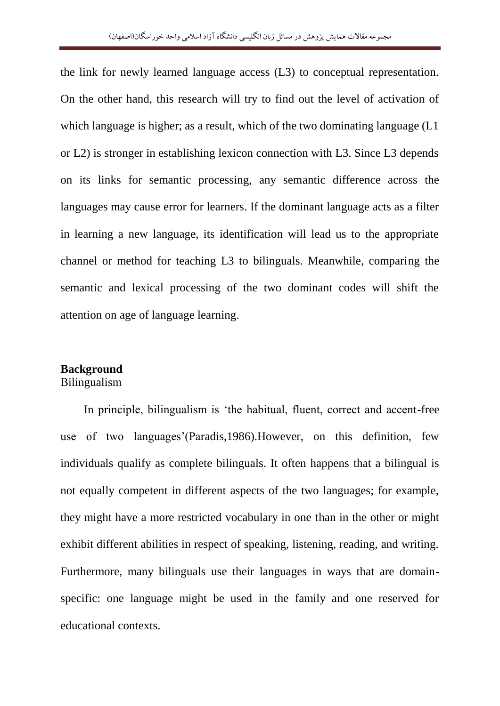the link for newly learned language access (L3) to conceptual representation. On the other hand, this research will try to find out the level of activation of which language is higher; as a result, which of the two dominating language (L1 or L2) is stronger in establishing lexicon connection with L3. Since L3 depends on its links for semantic processing, any semantic difference across the languages may cause error for learners. If the dominant language acts as a filter in learning a new language, its identification will lead us to the appropriate channel or method for teaching L3 to bilinguals. Meanwhile, comparing the semantic and lexical processing of the two dominant codes will shift the attention on age of language learning.

# **Background**

# Bilingualism

 In principle, bilingualism is "the habitual, fluent, correct and accent-free use of two languages"(Paradis,1986).However, on this definition, few individuals qualify as complete bilinguals. It often happens that a bilingual is not equally competent in different aspects of the two languages; for example, they might have a more restricted vocabulary in one than in the other or might exhibit different abilities in respect of speaking, listening, reading, and writing. Furthermore, many bilinguals use their languages in ways that are domainspecific: one language might be used in the family and one reserved for educational contexts.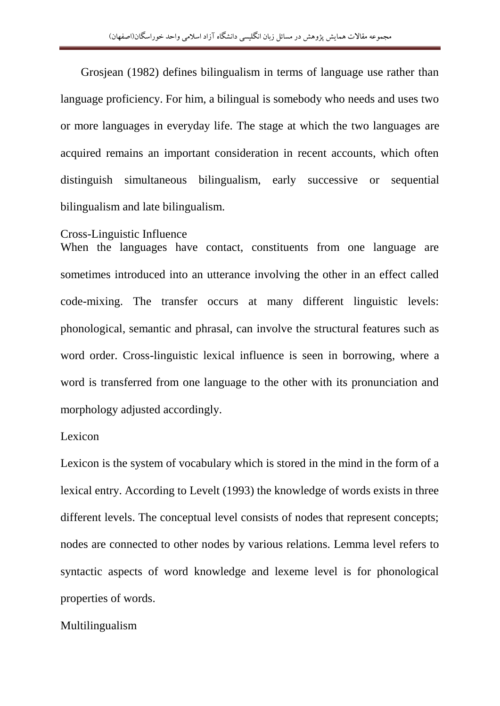Grosjean (1982) defines bilingualism in terms of language use rather than language proficiency. For him, a bilingual is somebody who needs and uses two or more languages in everyday life. The stage at which the two languages are acquired remains an important consideration in recent accounts, which often distinguish simultaneous bilingualism, early successive or sequential bilingualism and late bilingualism.

#### Cross-Linguistic Influence

When the languages have contact, constituents from one language are sometimes introduced into an utterance involving the other in an effect called code-mixing. The transfer occurs at many different linguistic levels: phonological, semantic and phrasal, can involve the structural features such as word order. Cross-linguistic lexical influence is seen in borrowing, where a word is transferred from one language to the other with its pronunciation and morphology adjusted accordingly.

# Lexicon

Lexicon is the system of vocabulary which is stored in the mind in the form of a lexical entry. According to Levelt (1993) the knowledge of words exists in three different levels. The conceptual level consists of nodes that represent concepts; nodes are connected to other nodes by various relations. Lemma level refers to syntactic aspects of word knowledge and lexeme level is for phonological properties of words.

#### Multilingualism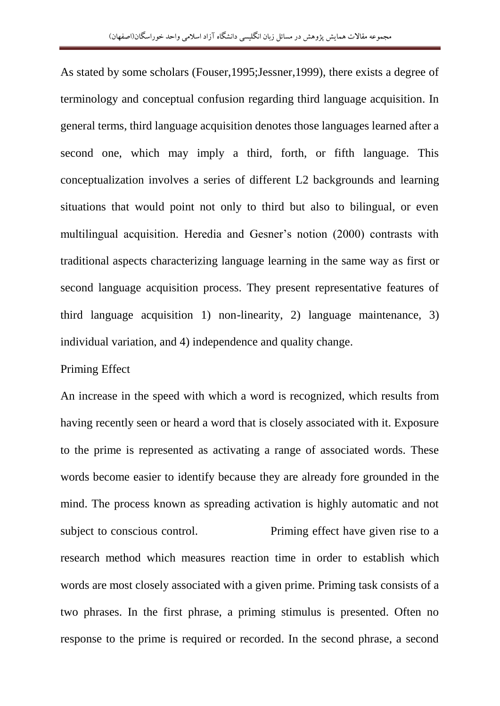As stated by some scholars (Fouser,1995;Jessner,1999), there exists a degree of terminology and conceptual confusion regarding third language acquisition. In general terms, third language acquisition denotes those languages learned after a second one, which may imply a third, forth, or fifth language. This conceptualization involves a series of different L2 backgrounds and learning situations that would point not only to third but also to bilingual, or even multilingual acquisition. Heredia and Gesner"s notion (2000) contrasts with traditional aspects characterizing language learning in the same way as first or second language acquisition process. They present representative features of third language acquisition 1) non-linearity, 2) language maintenance, 3) individual variation, and 4) independence and quality change.

#### Priming Effect

An increase in the speed with which a word is recognized, which results from having recently seen or heard a word that is closely associated with it. Exposure to the prime is represented as activating a range of associated words. These words become easier to identify because they are already fore grounded in the mind. The process known as spreading activation is highly automatic and not subject to conscious control. Priming effect have given rise to a research method which measures reaction time in order to establish which words are most closely associated with a given prime. Priming task consists of a two phrases. In the first phrase, a priming stimulus is presented. Often no response to the prime is required or recorded. In the second phrase, a second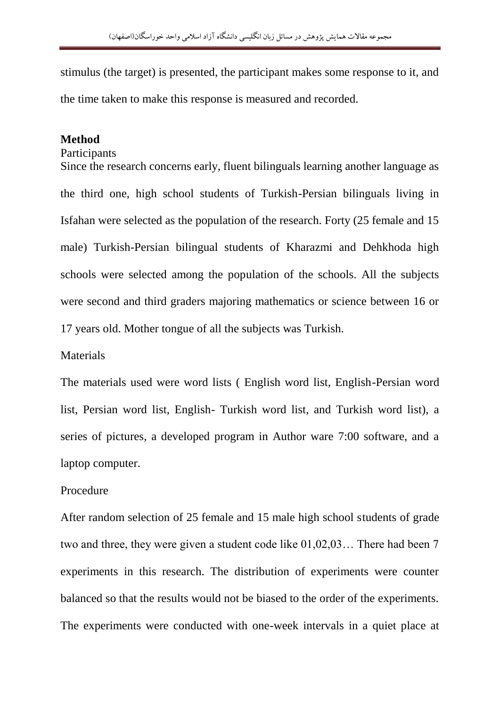stimulus (the target) is presented, the participant makes some response to it, and the time taken to make this response is measured and recorded.

#### **Method**

Participants

Since the research concerns early, fluent bilinguals learning another language as the third one, high school students of Turkish-Persian bilinguals living in Isfahan were selected as the population of the research. Forty (25 female and 15 male) Turkish-Persian bilingual students of Kharazmi and Dehkhoda high schools were selected among the population of the schools. All the subjects were second and third graders majoring mathematics or science between 16 or 17 years old. Mother tongue of all the subjects was Turkish.

#### Materials

The materials used were word lists ( English word list, English-Persian word list, Persian word list, English- Turkish word list, and Turkish word list), a series of pictures, a developed program in Author ware 7:00 software, and a laptop computer.

# Procedure

After random selection of 25 female and 15 male high school students of grade two and three, they were given a student code like 01,02,03… There had been 7 experiments in this research. The distribution of experiments were counter balanced so that the results would not be biased to the order of the experiments. The experiments were conducted with one-week intervals in a quiet place at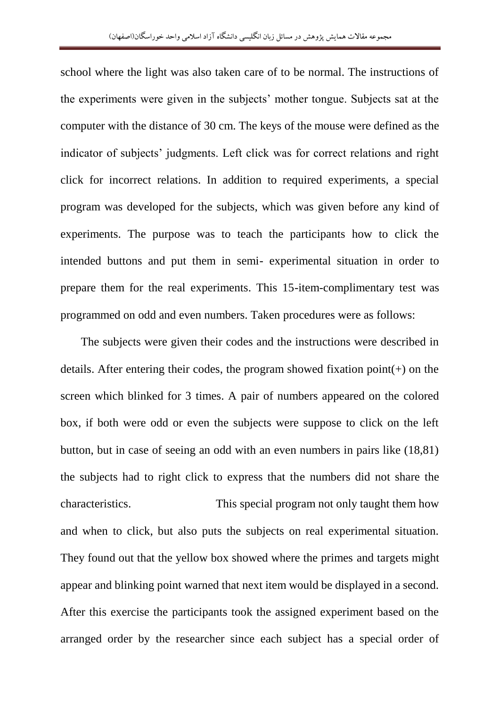school where the light was also taken care of to be normal. The instructions of the experiments were given in the subjects" mother tongue. Subjects sat at the computer with the distance of 30 cm. The keys of the mouse were defined as the indicator of subjects" judgments. Left click was for correct relations and right click for incorrect relations. In addition to required experiments, a special program was developed for the subjects, which was given before any kind of experiments. The purpose was to teach the participants how to click the intended buttons and put them in semi- experimental situation in order to prepare them for the real experiments. This 15-item-complimentary test was programmed on odd and even numbers. Taken procedures were as follows:

 The subjects were given their codes and the instructions were described in details. After entering their codes, the program showed fixation point(+) on the screen which blinked for 3 times. A pair of numbers appeared on the colored box, if both were odd or even the subjects were suppose to click on the left button, but in case of seeing an odd with an even numbers in pairs like (18,81) the subjects had to right click to express that the numbers did not share the characteristics. This special program not only taught them how and when to click, but also puts the subjects on real experimental situation. They found out that the yellow box showed where the primes and targets might appear and blinking point warned that next item would be displayed in a second. After this exercise the participants took the assigned experiment based on the arranged order by the researcher since each subject has a special order of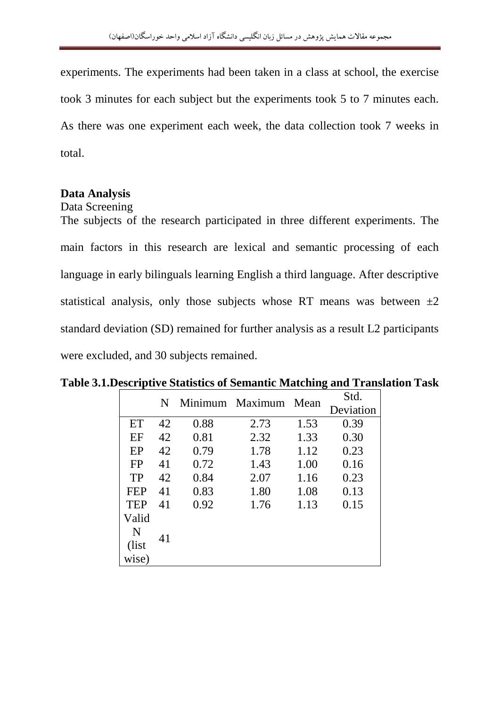experiments. The experiments had been taken in a class at school, the exercise took 3 minutes for each subject but the experiments took 5 to 7 minutes each. As there was one experiment each week, the data collection took 7 weeks in total.

# **Data Analysis**

Data Screening

The subjects of the research participated in three different experiments. The main factors in this research are lexical and semantic processing of each language in early bilinguals learning English a third language. After descriptive statistical analysis, only those subjects whose RT means was between  $\pm 2$ standard deviation (SD) remained for further analysis as a result L2 participants were excluded, and 30 subjects remained.

|  | N          |    |      | Minimum Maximum Mean |      | Std.      |  |
|--|------------|----|------|----------------------|------|-----------|--|
|  |            |    |      |                      |      | Deviation |  |
|  | ET         | 42 | 0.88 | 2.73                 | 1.53 | 0.39      |  |
|  | EF         | 42 | 0.81 | 2.32                 | 1.33 | 0.30      |  |
|  | EP         | 42 | 0.79 | 1.78                 | 1.12 | 0.23      |  |
|  | FP         | 41 | 0.72 | 1.43                 | 1.00 | 0.16      |  |
|  | TP         | 42 | 0.84 | 2.07                 | 1.16 | 0.23      |  |
|  | <b>FEP</b> | 41 | 0.83 | 1.80                 | 1.08 | 0.13      |  |
|  | <b>TEP</b> | 41 | 0.92 | 1.76                 | 1.13 | 0.15      |  |
|  | Valid      |    |      |                      |      |           |  |
|  | N          |    |      |                      |      |           |  |
|  | (list)     | 41 |      |                      |      |           |  |
|  | wise)      |    |      |                      |      |           |  |

# **Table 3.1.Descriptive Statistics of Semantic Matching and Translation Task**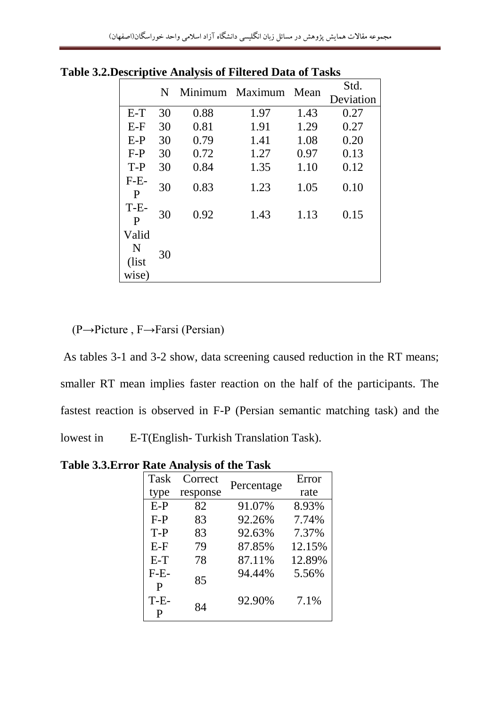| $\omega$                     |    |      |                      |      |           |  |  |  |  |
|------------------------------|----|------|----------------------|------|-----------|--|--|--|--|
|                              | N  |      | Minimum Maximum Mean |      | Std.      |  |  |  |  |
|                              |    |      |                      |      | Deviation |  |  |  |  |
| $E-T$                        | 30 | 0.88 | 1.97                 | 1.43 | 0.27      |  |  |  |  |
| $E-F$                        | 30 | 0.81 | 1.91                 | 1.29 | 0.27      |  |  |  |  |
| $E-P$                        | 30 | 0.79 | 1.41                 | 1.08 | 0.20      |  |  |  |  |
| $F-P$                        | 30 | 0.72 | 1.27                 | 0.97 | 0.13      |  |  |  |  |
| $T-P$                        | 30 | 0.84 | 1.35                 | 1.10 | 0.12      |  |  |  |  |
| $F-E-$<br>P                  | 30 | 0.83 | 1.23                 | 1.05 | 0.10      |  |  |  |  |
| $T-E$<br>P                   | 30 | 0.92 | 1.43                 | 1.13 | 0.15      |  |  |  |  |
| Valid<br>N<br>(list<br>wise) | 30 |      |                      |      |           |  |  |  |  |

**Table 3.2.Descriptive Analysis of Filtered Data of Tasks**

(P→Picture , F→Farsi (Persian)

As tables 3-1 and 3-2 show, data screening caused reduction in the RT means; smaller RT mean implies faster reaction on the half of the participants. The fastest reaction is observed in F-P (Persian semantic matching task) and the lowest in E-T(English- Turkish Translation Task).

**Table 3.3.Error Rate Analysis of the Task**

| Task        | Correct  | Percentage | Error  |  |  |
|-------------|----------|------------|--------|--|--|
| type        | response |            | rate   |  |  |
| $E-P$       | 82       | 91.07%     | 8.93%  |  |  |
| $F-P$       | 83       | 92.26%     | 7.74%  |  |  |
| $T-P$       | 83       | 92.63%     | 7.37%  |  |  |
| $E-F$       | 79       | 87.85%     | 12.15% |  |  |
| $E-T$       | 78       | 87.11%     | 12.89% |  |  |
| $F-E-$<br>P | 85       | 94.44%     | 5.56%  |  |  |
| $T-E-$<br>P | 84       | 92.90%     | 7.1%   |  |  |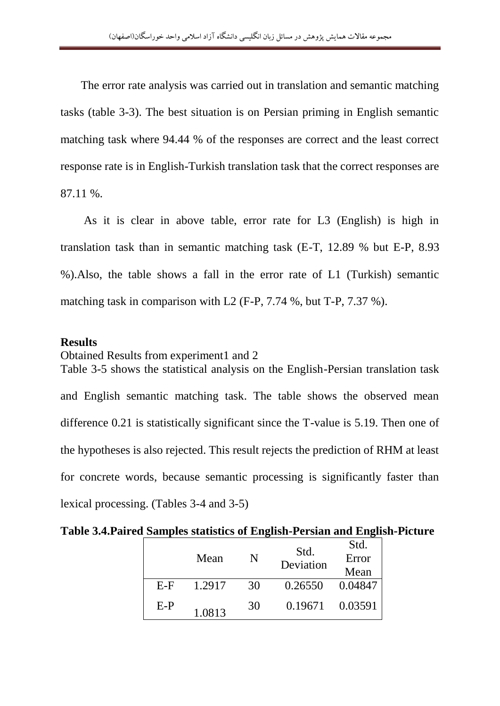The error rate analysis was carried out in translation and semantic matching tasks (table 3-3). The best situation is on Persian priming in English semantic matching task where 94.44 % of the responses are correct and the least correct response rate is in English-Turkish translation task that the correct responses are 87.11 %.

 As it is clear in above table, error rate for L3 (English) is high in translation task than in semantic matching task (E-T, 12.89 % but E-P, 8.93 %).Also, the table shows a fall in the error rate of L1 (Turkish) semantic matching task in comparison with L2 (F-P, 7.74 %, but T-P, 7.37 %).

# **Results**

Obtained Results from experiment1 and 2 Table 3-5 shows the statistical analysis on the English-Persian translation task and English semantic matching task. The table shows the observed mean difference 0.21 is statistically significant since the T-value is 5.19. Then one of the hypotheses is also rejected. This result rejects the prediction of RHM at least for concrete words, because semantic processing is significantly faster than lexical processing. (Tables 3-4 and 3-5)

**Table 3.4.Paired Samples statistics of English-Persian and English-Picture** 

|       | Mean   | N  | Std.<br>Deviation | Std.<br>Error |  |
|-------|--------|----|-------------------|---------------|--|
|       |        |    |                   | Mean          |  |
| $E-F$ | 1.2917 | 30 | 0.26550           | 0.04847       |  |
| $E-P$ | 1.0813 | 30 | 0.19671           | 0.03591       |  |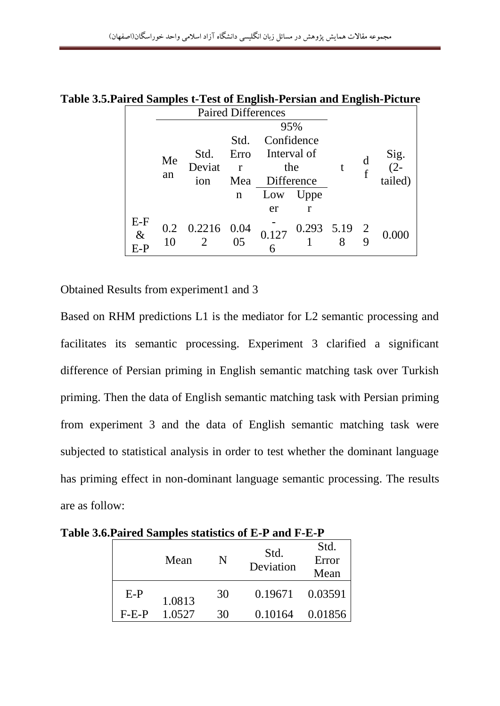|  |       | o<br><b>Paired Differences</b> |                 |                     |             |                |             | o |            |  |
|--|-------|--------------------------------|-----------------|---------------------|-------------|----------------|-------------|---|------------|--|
|  |       |                                |                 | 95%                 |             |                |             |   |            |  |
|  |       |                                |                 | Confidence<br>Std.  |             |                |             |   |            |  |
|  |       |                                | Std.            | Erro                | Interval of |                |             |   | Sig. $(2-$ |  |
|  |       | Me                             | Deviat          | the<br>$\mathbf{r}$ |             |                | $\mathbf f$ |   |            |  |
|  |       | an                             | 1 <sub>on</sub> | Mea                 | Difference  |                |             |   | tailed)    |  |
|  |       |                                |                 | n                   | Uppe<br>Low |                |             |   |            |  |
|  |       |                                |                 |                     | er          | r              |             |   |            |  |
|  | $E-F$ | 0.2                            | 0.2216 0.04     |                     |             | $0.293$ 5.19 2 |             |   |            |  |
|  | $\&$  | 10                             | 2               | 05                  | 0.127       |                |             |   | 0.000      |  |
|  | E-P   |                                |                 |                     |             |                |             |   |            |  |

**Table 3.5.Paired Samples t-Test of English-Persian and English-Picture** 

Obtained Results from experiment1 and 3

Based on RHM predictions L1 is the mediator for L2 semantic processing and facilitates its semantic processing. Experiment 3 clarified a significant difference of Persian priming in English semantic matching task over Turkish priming. Then the data of English semantic matching task with Persian priming from experiment 3 and the data of English semantic matching task were subjected to statistical analysis in order to test whether the dominant language has priming effect in non-dominant language semantic processing. The results are as follow:

|         | Mean   | N  | Std.<br>Deviation | Std.<br>Error<br>Mean |  |
|---------|--------|----|-------------------|-----------------------|--|
| $E-P$   | 1.0813 | 30 | 0.19671           | 0.03591               |  |
| $F-E-P$ | 1.0527 | 30 | 0.10164           | 0.01856               |  |

**Table 3.6.Paired Samples statistics of E-P and F-E-P**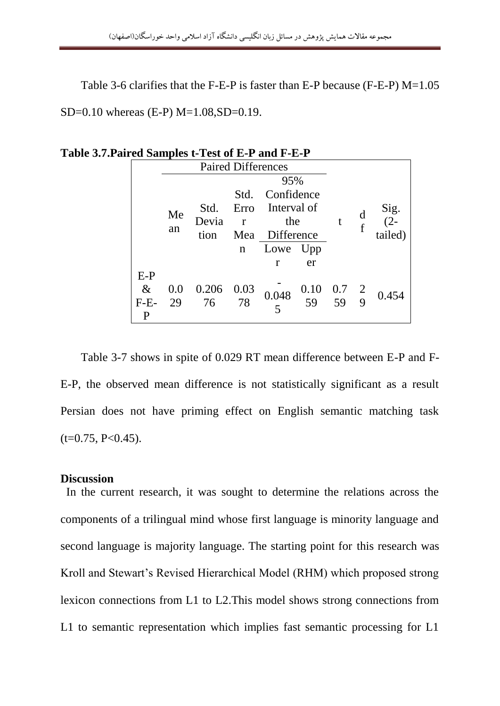Table 3-6 clarifies that the F-E-P is faster than E-P because (F-E-P) M=1.05 SD=0.10 whereas (E-P) M=1.08,SD=0.19.

|        | <b>Paired Differences</b>   |       |                    |            |                                                       |  |                   |               |
|--------|-----------------------------|-------|--------------------|------------|-------------------------------------------------------|--|-------------------|---------------|
|        | 95%                         |       |                    |            |                                                       |  |                   |               |
|        |                             |       | Confidence<br>Std. |            |                                                       |  |                   |               |
|        | Interval of<br>Erro<br>Std. |       |                    |            |                                                       |  |                   |               |
|        | Me                          | Devia | $\mathbf{r}$       | the        |                                                       |  | d<br>$\mathbf{f}$ | Sig.<br>$(2-$ |
|        | an                          | tion  | Mea                | Difference |                                                       |  |                   | tailed)       |
|        |                             |       | n                  | Lowe       | Upp                                                   |  |                   |               |
|        |                             |       |                    | r          | er                                                    |  |                   |               |
| $E-P$  |                             |       |                    |            |                                                       |  |                   |               |
| $\&$   | 0.0                         | 0.206 | 0.03               |            | $\begin{array}{cc} 0.10 & 0.7 \\ 59 & 59 \end{array}$ |  |                   | 0.454         |
| $F-E-$ | 29                          | 76    | 78                 | 0.048      |                                                       |  | 9                 |               |
| P      |                             |       |                    |            |                                                       |  |                   |               |

**Table 3.7.Paired Samples t-Test of E-P and F-E-P** 

 Table 3-7 shows in spite of 0.029 RT mean difference between E-P and F-E-P, the observed mean difference is not statistically significant as a result Persian does not have priming effect on English semantic matching task  $(t=0.75, P<0.45)$ .

#### **Discussion**

 In the current research, it was sought to determine the relations across the components of a trilingual mind whose first language is minority language and second language is majority language. The starting point for this research was Kroll and Stewart"s Revised Hierarchical Model (RHM) which proposed strong lexicon connections from L1 to L2.This model shows strong connections from L1 to semantic representation which implies fast semantic processing for L1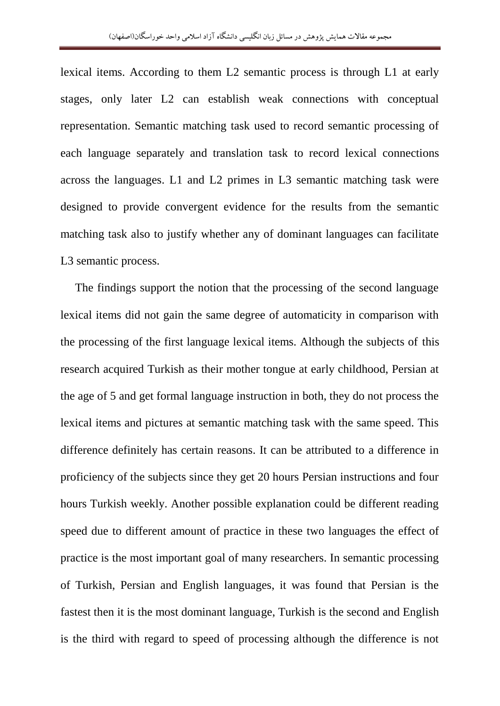lexical items. According to them L2 semantic process is through L1 at early stages, only later L2 can establish weak connections with conceptual representation. Semantic matching task used to record semantic processing of each language separately and translation task to record lexical connections across the languages. L1 and L2 primes in L3 semantic matching task were designed to provide convergent evidence for the results from the semantic matching task also to justify whether any of dominant languages can facilitate L3 semantic process.

 The findings support the notion that the processing of the second language lexical items did not gain the same degree of automaticity in comparison with the processing of the first language lexical items. Although the subjects of this research acquired Turkish as their mother tongue at early childhood, Persian at the age of 5 and get formal language instruction in both, they do not process the lexical items and pictures at semantic matching task with the same speed. This difference definitely has certain reasons. It can be attributed to a difference in proficiency of the subjects since they get 20 hours Persian instructions and four hours Turkish weekly. Another possible explanation could be different reading speed due to different amount of practice in these two languages the effect of practice is the most important goal of many researchers. In semantic processing of Turkish, Persian and English languages, it was found that Persian is the fastest then it is the most dominant language, Turkish is the second and English is the third with regard to speed of processing although the difference is not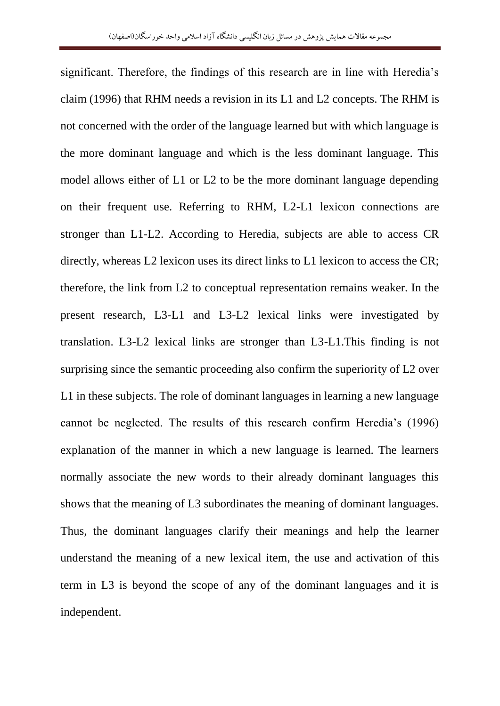significant. Therefore, the findings of this research are in line with Heredia's claim (1996) that RHM needs a revision in its L1 and L2 concepts. The RHM is not concerned with the order of the language learned but with which language is the more dominant language and which is the less dominant language. This model allows either of L1 or L2 to be the more dominant language depending on their frequent use. Referring to RHM, L2-L1 lexicon connections are stronger than L1-L2. According to Heredia, subjects are able to access CR directly, whereas L2 lexicon uses its direct links to L1 lexicon to access the CR; therefore, the link from L2 to conceptual representation remains weaker. In the present research, L3-L1 and L3-L2 lexical links were investigated by translation. L3-L2 lexical links are stronger than L3-L1.This finding is not surprising since the semantic proceeding also confirm the superiority of L2 over L1 in these subjects. The role of dominant languages in learning a new language cannot be neglected. The results of this research confirm Heredia"s (1996) explanation of the manner in which a new language is learned. The learners normally associate the new words to their already dominant languages this shows that the meaning of L3 subordinates the meaning of dominant languages. Thus, the dominant languages clarify their meanings and help the learner understand the meaning of a new lexical item, the use and activation of this term in L3 is beyond the scope of any of the dominant languages and it is independent.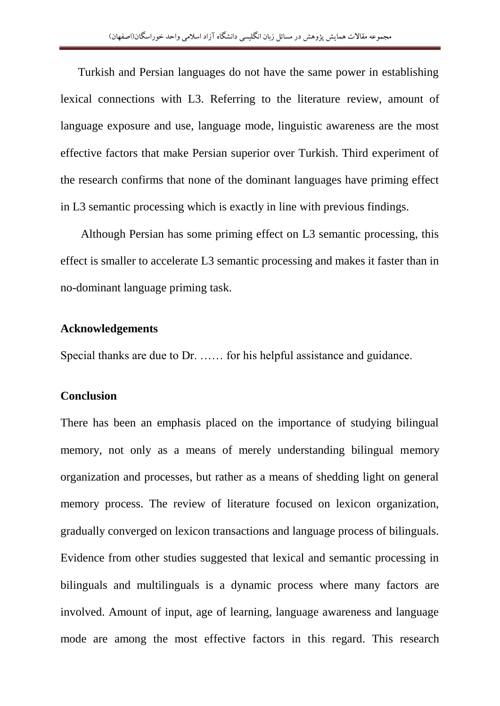Turkish and Persian languages do not have the same power in establishing lexical connections with L3. Referring to the literature review, amount of language exposure and use, language mode, linguistic awareness are the most effective factors that make Persian superior over Turkish. Third experiment of the research confirms that none of the dominant languages have priming effect in L3 semantic processing which is exactly in line with previous findings.

 Although Persian has some priming effect on L3 semantic processing, this effect is smaller to accelerate L3 semantic processing and makes it faster than in no-dominant language priming task.

# **Acknowledgements**

Special thanks are due to Dr. …… for his helpful assistance and guidance.

## **Conclusion**

There has been an emphasis placed on the importance of studying bilingual memory, not only as a means of merely understanding bilingual memory organization and processes, but rather as a means of shedding light on general memory process. The review of literature focused on lexicon organization, gradually converged on lexicon transactions and language process of bilinguals. Evidence from other studies suggested that lexical and semantic processing in bilinguals and multilinguals is a dynamic process where many factors are involved. Amount of input, age of learning, language awareness and language mode are among the most effective factors in this regard. This research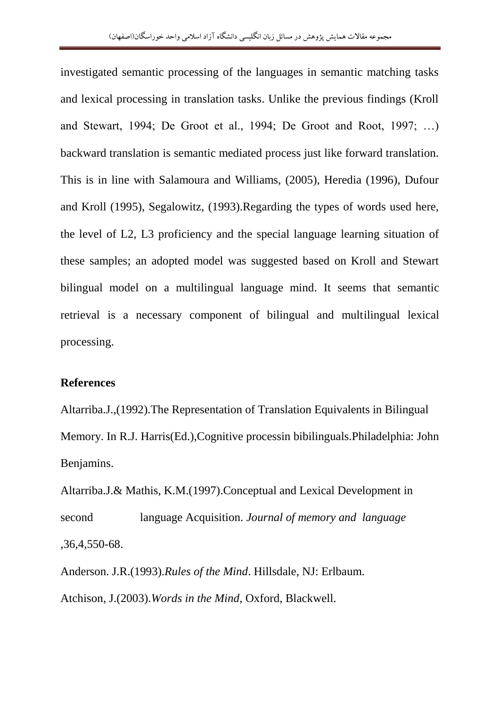investigated semantic processing of the languages in semantic matching tasks and lexical processing in translation tasks. Unlike the previous findings (Kroll and Stewart, 1994; De Groot et al., 1994; De Groot and Root, 1997; …) backward translation is semantic mediated process just like forward translation. This is in line with Salamoura and Williams, (2005), Heredia (1996), Dufour and Kroll (1995), Segalowitz, (1993).Regarding the types of words used here, the level of L2, L3 proficiency and the special language learning situation of these samples; an adopted model was suggested based on Kroll and Stewart bilingual model on a multilingual language mind. It seems that semantic retrieval is a necessary component of bilingual and multilingual lexical processing.

# **References**

Altarriba.J.,(1992).The Representation of Translation Equivalents in Bilingual Memory. In R.J. Harris(Ed.),Cognitive processin bibilinguals.Philadelphia: John Benjamins.

Altarriba.J.& Mathis, K.M.(1997).Conceptual and Lexical Development in second language Acquisition. *Journal of memory and language* ,36,4,550-68.

Anderson. J.R.(1993).*Rules of the Mind*. Hillsdale, NJ: Erlbaum. Atchison, J.(2003).*Words in the Mind*, Oxford, Blackwell.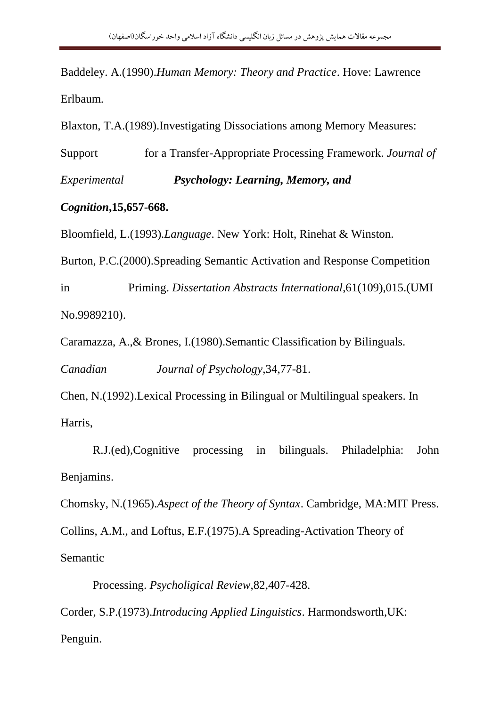Baddeley. A.(1990).*Human Memory: Theory and Practice*. Hove: Lawrence Erlbaum.

Blaxton, T.A.(1989).Investigating Dissociations among Memory Measures:

Support for a Transfer-Appropriate Processing Framework. *Journal of Experimental Psychology: Learning, Memory, and* 

# *Cognition***,15,657-668.**

Bloomfield, L.(1993).*Language*. New York: Holt, Rinehat & Winston.

Burton, P.C.(2000).Spreading Semantic Activation and Response Competition

in Priming. *Dissertation Abstracts International*,61(109),015.(UMI No.9989210).

Caramazza, A.,& Brones, I.(1980).Semantic Classification by Bilinguals.

*Canadian Journal of Psychology*,34,77-81.

Chen, N.(1992).Lexical Processing in Bilingual or Multilingual speakers. In Harris,

 R.J.(ed),Cognitive processing in bilinguals. Philadelphia: John Benjamins.

Chomsky, N.(1965).*Aspect of the Theory of Syntax*. Cambridge, MA:MIT Press.

Collins, A.M., and Loftus, E.F.(1975).A Spreading-Activation Theory of Semantic

Processing. *Psycholigical Review*,82,407-428.

Corder, S.P.(1973).*Introducing Applied Linguistics*. Harmondsworth,UK: Penguin.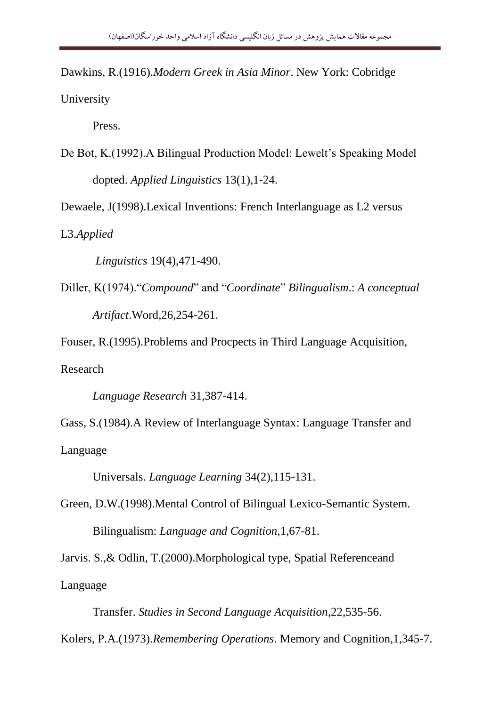Dawkins, R.(1916).*Modern Greek in Asia Minor*. New York: Cobridge University

Press.

De Bot, K.(1992). A Bilingual Production Model: Lewelt's Speaking Model dopted. *Applied Linguistics* 13(1),1-24.

Dewaele, J(1998).Lexical Inventions: French Interlanguage as L2 versus

L3.*Applied* 

 *Linguistics* 19(4),471-490.

Diller, K(1974)."*Compound*" and "*Coordinate*" *Bilingualism*.: *A conceptual Artifact*.Word,26,254-261.

Fouser, R.(1995).Problems and Procpects in Third Language Acquisition, Research

*Language Research* 31,387-414.

Gass, S.(1984).A Review of Interlanguage Syntax: Language Transfer and Language

Universals. *Language Learning* 34(2),115-131.

Green, D.W.(1998).Mental Control of Bilingual Lexico-Semantic System. Bilingualism: *Language and Cognition*,1,67-81.

Jarvis. S.,& Odlin, T.(2000).Morphological type, Spatial Referenceand Language

 Transfer. *Studies in Second Language Acquisition*,22,535-56. Kolers, P.A.(1973).*Remembering Operations*. Memory and Cognition,1,345-7.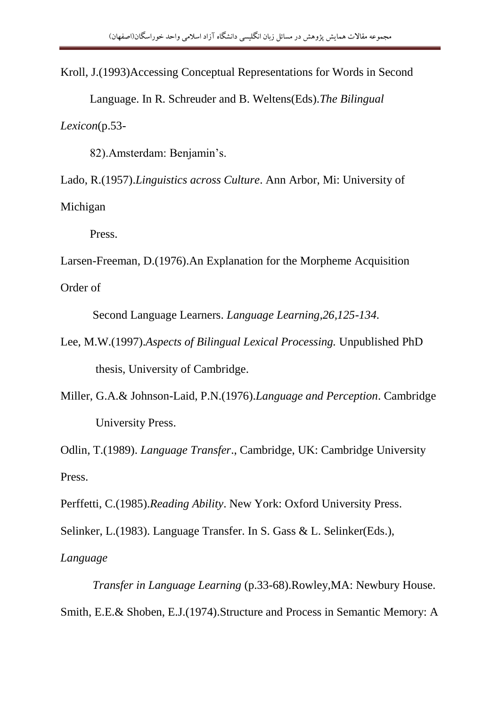Kroll, J.(1993)Accessing Conceptual Representations for Words in Second Language. In R. Schreuder and B. Weltens(Eds).*The Bilingual Lexicon*(p.53-

82).Amsterdam: Benjamin"s.

Lado, R.(1957).*Linguistics across Culture*. Ann Arbor, Mi: University of

Michigan

Press.

Larsen-Freeman, D.(1976).An Explanation for the Morpheme Acquisition

Order of

Second Language Learners. *Language Learning,26,125-134.*

- Lee, M.W.(1997).*Aspects of Bilingual Lexical Processing.* Unpublished PhD thesis, University of Cambridge.
- Miller, G.A.& Johnson-Laid, P.N.(1976).*Language and Perception*. Cambridge University Press.

Odlin, T.(1989). *Language Transfer*., Cambridge, UK: Cambridge University Press.

Perffetti, C.(1985).*Reading Ability*. New York: Oxford University Press.

Selinker, L.(1983). Language Transfer. In S. Gass & L. Selinker(Eds.),

*Language*

 *Transfer in Language Learning* (p.33-68).Rowley,MA: Newbury House. Smith, E.E.& Shoben, E.J.(1974).Structure and Process in Semantic Memory: A